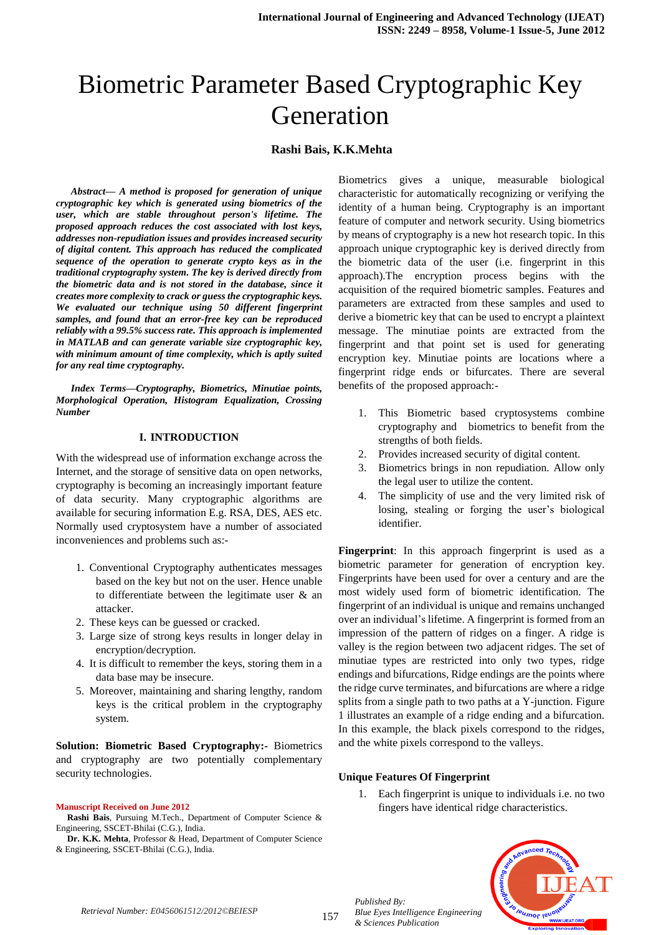# Biometric Parameter Based Cryptographic Key Generation

# **Rashi Bais, K.K.Mehta**

*Abstract— A method is proposed for generation of unique cryptographic key which is generated using biometrics of the user, which are stable throughout person's lifetime. The proposed approach reduces the cost associated with lost keys, addresses non-repudiation issues and provides increased security of digital content. This approach has reduced the complicated sequence of the operation to generate crypto keys as in the traditional cryptography system. The key is derived directly from the biometric data and is not stored in the database, since it creates more complexity to crack or guess the cryptographic keys. We evaluated our technique using 50 different fingerprint samples, and found that an error-free key can be reproduced reliably with a 99.5% success rate. This approach is implemented in MATLAB and can generate variable size cryptographic key, with minimum amount of time complexity, which is aptly suited for any real time cryptography.*

*Index Terms—Cryptography, Biometrics, Minutiae points, Morphological Operation, Histogram Equalization, Crossing Number* 

#### **I. INTRODUCTION**

With the widespread use of information exchange across the Internet, and the storage of sensitive data on open networks, cryptography is becoming an increasingly important feature of data security. Many cryptographic algorithms are available for securing information E.g. RSA, DES, AES etc. Normally used cryptosystem have a number of associated inconveniences and problems such as:-

- 1. Conventional Cryptography authenticates messages based on the key but not on the user. Hence unable to differentiate between the legitimate user & an attacker.
- 2. These keys can be guessed or cracked.
- 3. Large size of strong keys results in longer delay in encryption/decryption.
- 4. It is difficult to remember the keys, storing them in a data base may be insecure.
- 5. Moreover, maintaining and sharing lengthy, random keys is the critical problem in the cryptography system.

**Solution: Biometric Based Cryptography:-** Biometrics and cryptography are two potentially complementary security technologies.

#### **Manuscript Received on June 2012**

**Rashi Bais**, Pursuing M.Tech., Department of Computer Science & Engineering, SSCET-Bhilai (C.G.), India.

**Dr. K.K. Mehta**, Professor & Head, Department of Computer Science & Engineering, SSCET-Bhilai (C.G.), India.

Biometrics gives a unique, measurable biological characteristic for automatically recognizing or verifying the identity of a human being. Cryptography is an important feature of computer and network security. Using biometrics by means of cryptography is a new hot research topic. In this approach unique cryptographic key is derived directly from the biometric data of the user (i.e. fingerprint in this approach).The encryption process begins with the acquisition of the required biometric samples. Features and parameters are extracted from these samples and used to derive a biometric key that can be used to encrypt a plaintext message. The minutiae points are extracted from the fingerprint and that point set is used for generating encryption key. Minutiae points are locations where a fingerprint ridge ends or bifurcates. There are several benefits of the proposed approach:-

- 1. This Biometric based cryptosystems combine cryptography and biometrics to benefit from the strengths of both fields.
- 2. Provides increased security of digital content.
- 3. Biometrics brings in non repudiation. Allow only the legal user to utilize the content.
- 4. The simplicity of use and the very limited risk of losing, stealing or forging the user's biological identifier.

**Fingerprint**: In this approach fingerprint is used as a biometric parameter for generation of encryption key. Fingerprints have been used for over a century and are the most widely used form of biometric identification. The fingerprint of an individual is unique and remains unchanged over an individual's lifetime. A fingerprint is formed from an impression of the pattern of ridges on a finger. A ridge is valley is the region between two adjacent ridges. The set of minutiae types are restricted into only two types, ridge endings and bifurcations, Ridge endings are the points where the ridge curve terminates, and bifurcations are where a ridge splits from a single path to two paths at a Y-junction. Figure 1 illustrates an example of a ridge ending and a bifurcation. In this example, the black pixels correspond to the ridges, and the white pixels correspond to the valleys.

#### **Unique Features Of Fingerprint**

*Blue Eyes Intelligence Engineering* 

1. Each fingerprint is unique to individuals i.e. no two fingers have identical ridge characteristics.



*Published By:*

*& Sciences Publication*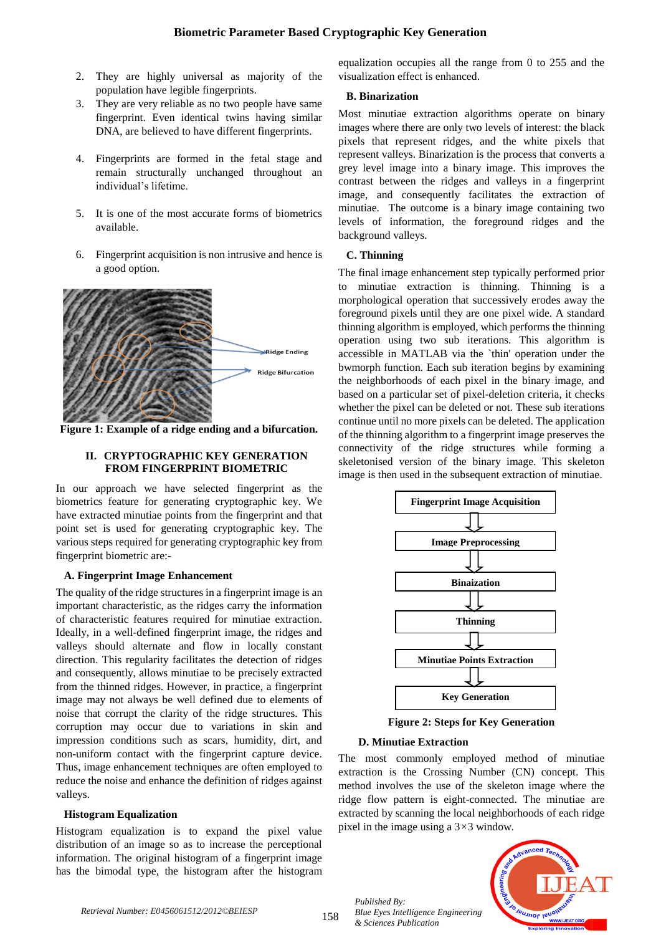- 2. They are highly universal as majority of the population have legible fingerprints.
- 3. They are very reliable as no two people have same fingerprint. Even identical twins having similar DNA, are believed to have different fingerprints.
- 4. Fingerprints are formed in the fetal stage and remain structurally unchanged throughout an individual's lifetime.
- 5. It is one of the most accurate forms of biometrics available.
- 6. Fingerprint acquisition is non intrusive and hence is a good option.



**Figure 1: Example of a ridge ending and a bifurcation.**

#### **II. CRYPTOGRAPHIC KEY GENERATION FROM FINGERPRINT BIOMETRIC**

In our approach we have selected fingerprint as the biometrics feature for generating cryptographic key. We have extracted minutiae points from the fingerprint and that point set is used for generating cryptographic key. The various steps required for generating cryptographic key from fingerprint biometric are:-

# **A. Fingerprint Image Enhancement**

The quality of the ridge structures in a fingerprint image is an important characteristic, as the ridges carry the information of characteristic features required for minutiae extraction. Ideally, in a well-defined fingerprint image, the ridges and valleys should alternate and flow in locally constant direction. This regularity facilitates the detection of ridges and consequently, allows minutiae to be precisely extracted from the thinned ridges. However, in practice, a fingerprint image may not always be well defined due to elements of noise that corrupt the clarity of the ridge structures. This corruption may occur due to variations in skin and impression conditions such as scars, humidity, dirt, and non-uniform contact with the fingerprint capture device. Thus, image enhancement techniques are often employed to reduce the noise and enhance the definition of ridges against valleys.

# **Histogram Equalization**

Histogram equalization is to expand the pixel value distribution of an image so as to increase the perceptional information. The original histogram of a fingerprint image has the bimodal type, the histogram after the histogram equalization occupies all the range from 0 to 255 and the visualization effect is enhanced.

# **B. Binarization**

Most minutiae extraction algorithms operate on binary images where there are only two levels of interest: the black pixels that represent ridges, and the white pixels that represent valleys. Binarization is the process that converts a grey level image into a binary image. This improves the contrast between the ridges and valleys in a fingerprint image, and consequently facilitates the extraction of minutiae. The outcome is a binary image containing two levels of information, the foreground ridges and the background valleys.

# **C. Thinning**

The final image enhancement step typically performed prior to minutiae extraction is thinning. Thinning is a morphological operation that successively erodes away the foreground pixels until they are one pixel wide. A standard thinning algorithm is employed, which performs the thinning operation using two sub iterations. This algorithm is accessible in MATLAB via the `thin' operation under the bwmorph function. Each sub iteration begins by examining the neighborhoods of each pixel in the binary image, and based on a particular set of pixel-deletion criteria, it checks whether the pixel can be deleted or not. These sub iterations continue until no more pixels can be deleted. The application of the thinning algorithm to a fingerprint image preserves the connectivity of the ridge structures while forming a skeletonised version of the binary image. This skeleton image is then used in the subsequent extraction of minutiae.



**Figure 2: Steps for Key Generation**

# **D. Minutiae Extraction**

The most commonly employed method of minutiae extraction is the Crossing Number (CN) concept. This method involves the use of the skeleton image where the ridge flow pattern is eight-connected. The minutiae are extracted by scanning the local neighborhoods of each ridge pixel in the image using a 3*×*3 window.



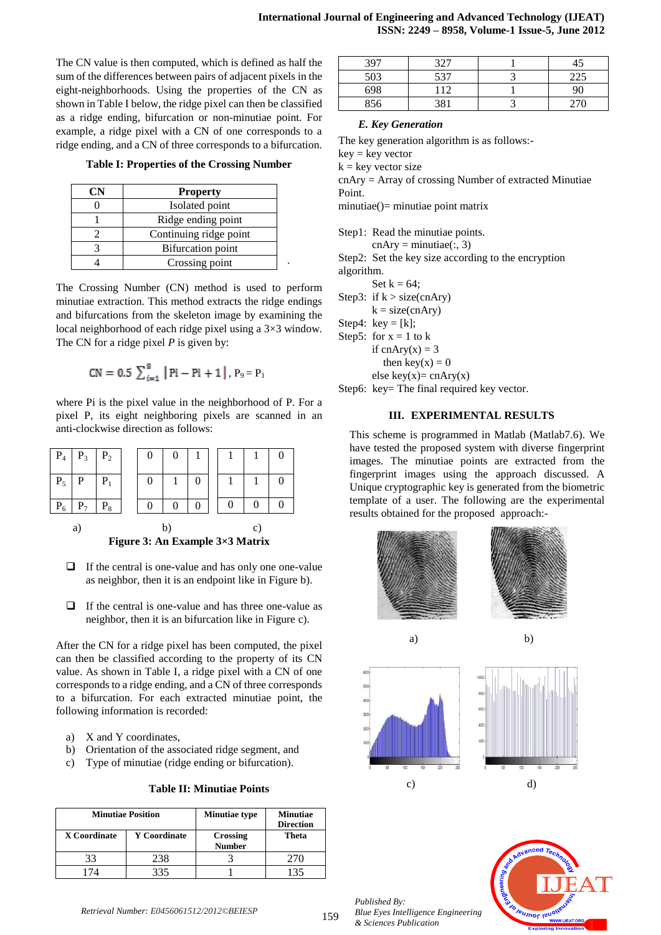The CN value is then computed, which is defined as half the sum of the differences between pairs of adjacent pixels in the eight-neighborhoods. Using the properties of the CN as shown in Table I below, the ridge pixel can then be classified as a ridge ending, bifurcation or non-minutiae point. For example, a ridge pixel with a CN of one corresponds to a ridge ending, and a CN of three corresponds to a bifurcation.

**Table I: Properties of the Crossing Number**

| <b>Property</b>        |  |  |  |
|------------------------|--|--|--|
| Isolated point         |  |  |  |
| Ridge ending point     |  |  |  |
| Continuing ridge point |  |  |  |
| Bifurcation point      |  |  |  |
| Crossing point         |  |  |  |

The Crossing Number (CN) method is used to perform minutiae extraction. This method extracts the ridge endings and bifurcations from the skeleton image by examining the local neighborhood of each ridge pixel using a 3×3 window. The CN for a ridge pixel *P* is given by:

$$
CN = 0.5 \sum_{i=1}^{8} |Pi - Pi + 1|, P_9 = P_1
$$

where Pi is the pixel value in the neighborhood of P. For a pixel P, its eight neighboring pixels are scanned in an anti-clockwise direction as follows:

|       | $\mid$ P <sub>4</sub> $\mid$ P <sub>3</sub> $\mid$ P <sub>2</sub> |       |  |  |  |  |
|-------|-------------------------------------------------------------------|-------|--|--|--|--|
| $P_5$ | $\mathbf{P}$                                                      | $P_1$ |  |  |  |  |
|       |                                                                   | P。    |  |  |  |  |

a) b) c) **Figure 3: An Example 3×3 Matrix**

- $\Box$  If the central is one-value and has only one one-value as neighbor, then it is an endpoint like in Figure b).
- $\Box$  If the central is one-value and has three one-value as neighbor, then it is an bifurcation like in Figure c).

After the CN for a ridge pixel has been computed, the pixel can then be classified according to the property of its CN value. As shown in Table I, a ridge pixel with a CN of one corresponds to a ridge ending, and a CN of three corresponds to a bifurcation. For each extracted minutiae point, the following information is recorded:

- a) X and Y coordinates,
- b) Orientation of the associated ridge segment, and
- c) Type of minutiae (ridge ending or bifurcation).

**Table II: Minutiae Points**

|              | <b>Minutiae Position</b> | <b>Minutiae type</b>             | <b>Minutiae</b><br><b>Direction</b> |
|--------------|--------------------------|----------------------------------|-------------------------------------|
| X Coordinate | <b>Y</b> Coordinate      | <b>Crossing</b><br><b>Number</b> | Theta                               |
|              | 238                      |                                  | 270                                 |
|              | २२५                      |                                  | -35                                 |

| 397 | 327 |     |
|-----|-----|-----|
| 503 | 537 |     |
| 698 | 12  | 90  |
| 856 | 381 | ንግበ |

# *E. Key Generation*

The key generation algorithm is as follows:-

 $key = key vector$ 

 $k = \text{key vector size}$ 

cnAry = Array of crossing Number of extracted Minutiae Point.

minutiae()= minutiae point matrix

Step1: Read the minutiae points.

 $cnAry = minutiae(:, 3)$ 

Step2: Set the key size according to the encryption algorithm.

Set  $k = 64$ ;

.

Step3: if  $k > size(cnAry)$ 

 $k = size(cnAry)$ 

Step4:  $key = [k]$ ;

Step5: for  $x = 1$  to k if cnAry $(x) = 3$ 

then key(x) =  $0$ 

else key(x)=  $cnAry(x)$ 

Step6: key= The final required key vector.

# **III. EXPERIMENTAL RESULTS**

This scheme is programmed in Matlab (Matlab7.6). We have tested the proposed system with diverse fingerprint images. The minutiae points are extracted from the fingerprint images using the approach discussed. A Unique cryptographic key is generated from the biometric template of a user. The following are the experimental results obtained for the proposed approach:-



*Published By: Blue Eyes Intelligence Engineering & Sciences Publication*